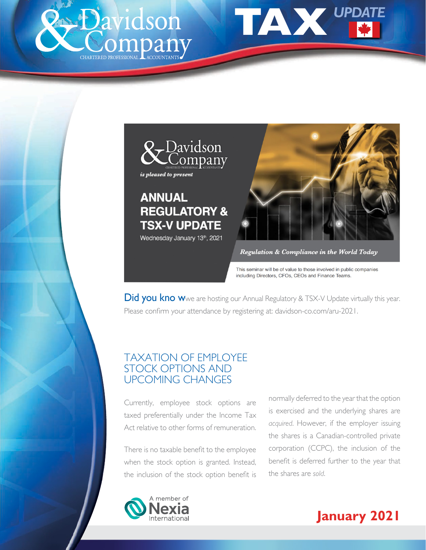<span id="page-0-0"></span>





Regulation & Compliance in the World Today

This seminar will be of value to those involved in public companies including Directors, CFOs, CEOs and Finance Teams.

**Did you kno w**we are hosting our Annual Regulatory & TSX-V Update virtually this year. Please confirm your attendance by registering at: davidson-co.com/aru-2021.

# TAXATION OF EMPLOYEE STOCK OPTIONS AND UPCOMING CHANGES

Currently, employee stock options are taxed preferentially under the Income Tax Act relative to other forms of remuneration.

There is no taxable benefit to the employee when the stock option is granted. Instead, the inclusion of the stock option benefit is

normally deferred to the year that the option is exercised and the underlying shares are *acquired*. However, if the employer issuing the shares is a Canadian-controlled private corporation (CCPC), the inclusion of the benefit is deferred further to the year that the shares are *sold*.



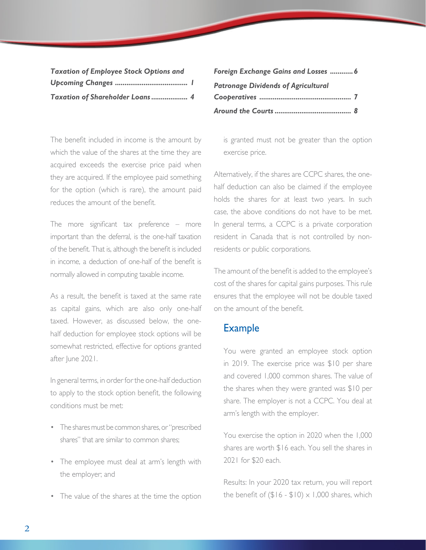| <b>Taxation of Employee Stock Options and</b> |  |
|-----------------------------------------------|--|
|                                               |  |
| Taxation of Shareholder Loans 4               |  |

The benefit included in income is the amount by which the value of the shares at the time they are acquired exceeds the exercise price paid when they are acquired. If the employee paid something for the option (which is rare), the amount paid reduces the amount of the benefit.

The more significant tax preference – more important than the deferral, is the one-half taxation of the benefit. That is, although the benefit is included in income, a deduction of one-half of the benefit is normally allowed in computing taxable income.

As a result, the benefit is taxed at the same rate as capital gains, which are also only one-half taxed. However, as discussed below, the onehalf deduction for employee stock options will be somewhat restricted, effective for options granted after June 2021.

In general terms, in order for the one-half deduction to apply to the stock option benefit, the following conditions must be met:

- The shares must be common shares, or "prescribed shares" that are similar to common shares;
- The employee must deal at arm's length with the employer; and
- The value of the shares at the time the option

| Foreign Exchange Gains and Losses  6       |  |
|--------------------------------------------|--|
| <b>Patronage Dividends of Agricultural</b> |  |
|                                            |  |
|                                            |  |

is granted must not be greater than the option exercise price.

Alternatively, if the shares are CCPC shares, the onehalf deduction can also be claimed if the employee holds the shares for at least two years. In such case, the above conditions do not have to be met. In general terms, a CCPC is a private corporation resident in Canada that is not controlled by nonresidents or public corporations.

The amount of the benefit is added to the employee's cost of the shares for capital gains purposes. This rule ensures that the employee will not be double taxed on the amount of the benefit.

#### Example

 You were granted an employee stock option in 2019. The exercise price was \$10 per share and covered 1,000 common shares. The value of the shares when they were granted was \$10 per share. The employer is not a CCPC. You deal at arm's length with the employer.

 You exercise the option in 2020 when the 1,000 shares are worth \$16 each. You sell the shares in 2021 for \$20 each.

 Results: In your 2020 tax return, you will report the benefit of  $(\$16 - \$10) \times 1,000$  shares, which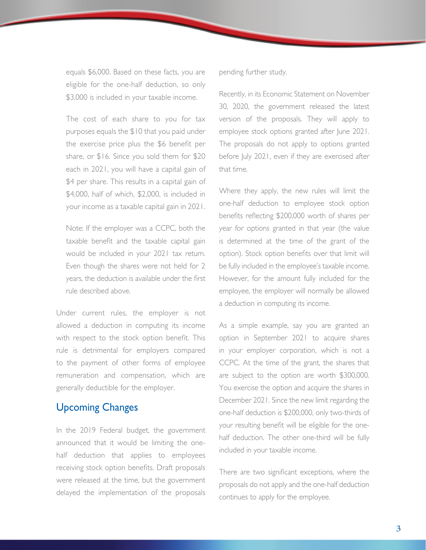equals \$6,000. Based on these facts, you are eligible for the one-half deduction, so only \$3,000 is included in your taxable income.

 The cost of each share to you for tax purposes equals the \$10 that you paid under the exercise price plus the \$6 benefit per share, or \$16. Since you sold them for \$20 each in 2021, you will have a capital gain of \$4 per share. This results in a capital gain of \$4,000, half of which, \$2,000, is included in your income as a taxable capital gain in 2021.

 Note: If the employer was a CCPC, both the taxable benefit and the taxable capital gain would be included in your 2021 tax return. Even though the shares were not held for 2 years, the deduction is available under the first rule described above.

Under current rules, the employer is not allowed a deduction in computing its income with respect to the stock option benefit. This rule is detrimental for employers compared to the payment of other forms of employee remuneration and compensation, which are generally deductible for the employer.

## Upcoming Changes

In the 2019 Federal budget, the government announced that it would be limiting the onehalf deduction that applies to employees receiving stock option benefits. Draft proposals were released at the time, but the government delayed the implementation of the proposals pending further study.

Recently, in its Economic Statement on November 30, 2020, the government released the latest version of the proposals. They will apply to employee stock options granted after June 2021. The proposals do not apply to options granted before July 2021, even if they are exercised after that time.

Where they apply, the new rules will limit the one-half deduction to employee stock option benefits reflecting \$200,000 worth of shares per year for options granted in that year (the value is determined at the time of the grant of the option). Stock option benefits over that limit will be fully included in the employee's taxable income. However, for the amount fully included for the employee, the employer will normally be allowed a deduction in computing its income.

As a simple example, say you are granted an option in September 2021 to acquire shares in your employer corporation, which is not a CCPC. At the time of the grant, the shares that are subject to the option are worth \$300,000. You exercise the option and acquire the shares in December 2021. Since the new limit regarding the one-half deduction is \$200,000, only two-thirds of your resulting benefit will be eligible for the onehalf deduction. The other one-third will be fully included in your taxable income.

There are two significant exceptions, where the proposals do not apply and the one-half deduction continues to apply for the employee.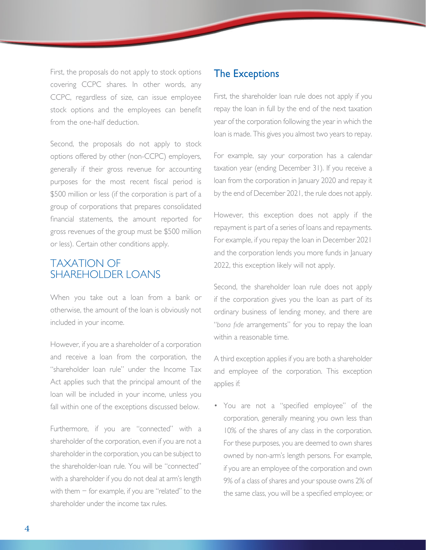<span id="page-3-0"></span>First, the proposals do not apply to stock options covering CCPC shares. In other words, any CCPC, regardless of size, can issue employee stock options and the employees can benefit from the one-half deduction.

Second, the proposals do not apply to stock options offered by other (non-CCPC) employers, generally if their gross revenue for accounting purposes for the most recent fiscal period is \$500 million or less (if the corporation is part of a group of corporations that prepares consolidated financial statements, the amount reported for gross revenues of the group must be \$500 million or less). Certain other conditions apply.

## TAXATION OF SHARFHOLDER LOANS

When you take out a loan from a bank or otherwise, the amount of the loan is obviously not included in your income.

However, if you are a shareholder of a corporation and receive a loan from the corporation, the "shareholder loan rule" under the Income Tax Act applies such that the principal amount of the loan will be included in your income, unless you fall within one of the exceptions discussed below.

Furthermore, if you are "connected" with a shareholder of the corporation, even if you are not a shareholder in the corporation, you can be subject to the shareholder-loan rule. You will be "connected" with a shareholder if you do not deal at arm's length with them − for example, if you are "related" to the shareholder under the income tax rules.

#### The Exceptions

First, the shareholder loan rule does not apply if you repay the loan in full by the end of the next taxation year of the corporation following the year in which the loan is made. This gives you almost two years to repay.

For example, say your corporation has a calendar taxation year (ending December 31). If you receive a loan from the corporation in January 2020 and repay it by the end of December 2021, the rule does not apply.

However, this exception does not apply if the repayment is part of a series of loans and repayments. For example, if you repay the loan in December 2021 and the corporation lends you more funds in January 2022, this exception likely will not apply.

Second, the shareholder loan rule does not apply if the corporation gives you the loan as part of its ordinary business of lending money, and there are "*bona fide* arrangements" for you to repay the loan within a reasonable time.

A third exception applies if you are both a shareholder and employee of the corporation. This exception applies if:

• You are not a "specified employee" of the corporation, generally meaning you own less than 10% of the shares of any class in the corporation. For these purposes, you are deemed to own shares owned by non-arm's length persons. For example, if you are an employee of the corporation and own 9% of a class of shares and your spouse owns 2% of the same class, you will be a specified employee; or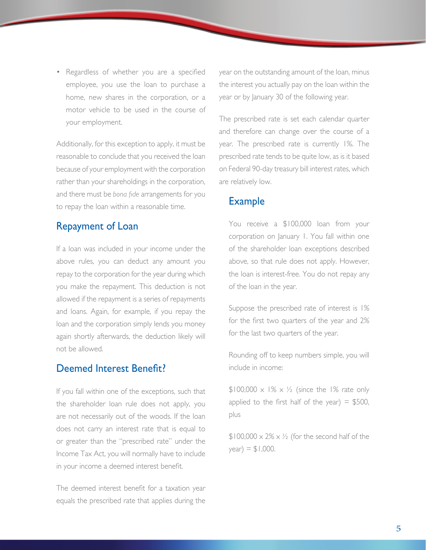Regardless of whether you are a specified employee, you use the loan to purchase a home, new shares in the corporation, or a motor vehicle to be used in the course of your employment.

Additionally, for this exception to apply, it must be reasonable to conclude that you received the loan because of your employment with the corporation rather than your shareholdings in the corporation, and there must be *bona fide* arrangements for you to repay the loan within a reasonable time.

## Repayment of Loan

If a loan was included in your income under the above rules, you can deduct any amount you repay to the corporation for the year during which you make the repayment. This deduction is not allowed if the repayment is a series of repayments and loans. Again, for example, if you repay the loan and the corporation simply lends you money again shortly afterwards, the deduction likely will not be allowed.

#### Deemed Interest Benefit?

If you fall within one of the exceptions, such that the shareholder loan rule does not apply, you are not necessarily out of the woods. If the loan does not carry an interest rate that is equal to or greater than the "prescribed rate" under the Income Tax Act, you will normally have to include in your income a deemed interest benefit.

The deemed interest benefit for a taxation year equals the prescribed rate that applies during the

year on the outstanding amount of the loan, minus the interest you actually pay on the loan within the year or by January 30 of the following year.

The prescribed rate is set each calendar quarter and therefore can change over the course of a year. The prescribed rate is currently 1%. The prescribed rate tends to be quite low, as is it based on Federal 90-day treasury bill interest rates, which are relatively low.

#### Example

 You receive a \$100,000 loan from your corporation on January 1. You fall within one of the shareholder loan exceptions described above, so that rule does not apply. However, the loan is interest-free. You do not repay any of the loan in the year.

 Suppose the prescribed rate of interest is 1% for the first two quarters of the year and 2% for the last two quarters of the year.

 Rounding off to keep numbers simple, you will include in income:

 $$100,000 \times 1\% \times \frac{1}{2}$  (since the 1% rate only applied to the first half of the year)  $=$  \$500, plus

 $$100,000 \times 2\% \times \frac{1}{2}$  (for the second half of the  $year) = $1,000.$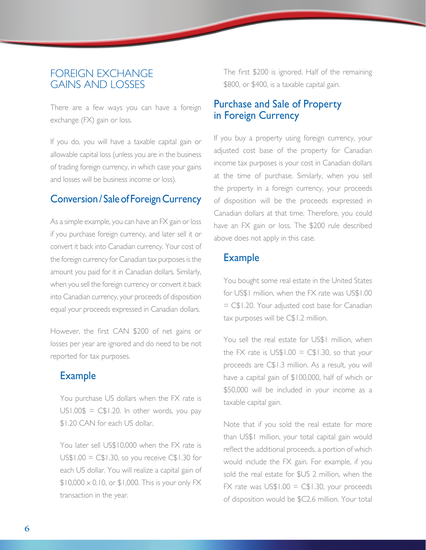## <span id="page-5-0"></span>FOREIGN EXCHANGE GAINS AND LOSSES

There are a few ways you can have a foreign exchange (FX) gain or loss.

If you do, you will have a taxable capital gain or allowable capital loss (unless you are in the business of trading foreign currency, in which case your gains and losses will be business income or loss).

## Conversion / Sale of Foreign Currency

As a simple example, you can have an FX gain or loss if you purchase foreign currency, and later sell it or convert it back into Canadian currency. Your cost of the foreign currency for Canadian tax purposes is the amount you paid for it in Canadian dollars. Similarly, when you sell the foreign currency or convert it back into Canadian currency, your proceeds of disposition equal your proceeds expressed in Canadian dollars.

However, the first CAN \$200 of net gains or losses per year are ignored and do need to be not reported for tax purposes.

## Example

 You purchase US dollars when the FX rate is  $US1.00$ \$ =  $C$1.20$ . In other words, you pay \$1.20 CAN for each US dollar.

 You later sell US\$10,000 when the FX rate is  $US$1.00 = C$1.30, so you receive C$1.30 for$ each US dollar. You will realize a capital gain of  $$10,000 \times 0.10$ , or  $$1,000$ . This is your only FX transaction in the year.

 The first \$200 is ignored. Half of the remaining \$800, or \$400, is a taxable capital gain.

## Purchase and Sale of Property in Foreign Currency

If you buy a property using foreign currency, your adjusted cost base of the property for Canadian income tax purposes is your cost in Canadian dollars at the time of purchase. Similarly, when you sell the property in a foreign currency, your proceeds of disposition will be the proceeds expressed in Canadian dollars at that time. Therefore, you could have an FX gain or loss. The \$200 rule described above does not apply in this case.

### Example

 You bought some real estate in the United States for US\$1 million, when the FX rate was US\$1.00 = C\$1.20. Your adjusted cost base for Canadian tax purposes will be C\$1.2 million.

You sell the real estate for US\$1 million, when the FX rate is  $US$1.00 = C$1.30, so that your$ proceeds are C\$1.3 million. As a result, you will have a capital gain of \$100,000, half of which or \$50,000 will be included in your income as a taxable capital gain.

 Note that if you sold the real estate for more than US\$1 million, your total capital gain would reflect the additional proceeds, a portion of which would include the FX gain. For example, if you sold the real estate for \$US 2 million, when the FX rate was  $US$1.00 = C$1.30, your proceeds$ of disposition would be \$C2.6 million. Your total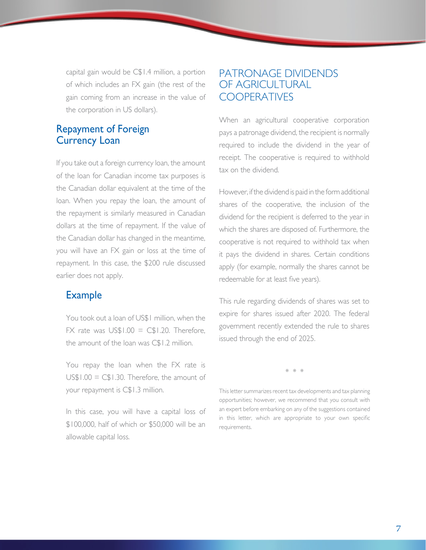<span id="page-6-0"></span>capital gain would be C\$1.4 million, a portion of which includes an FX gain (the rest of the gain coming from an increase in the value of the corporation in US dollars).

### Repayment of Foreign Currency Loan

If you take out a foreign currency loan, the amount of the loan for Canadian income tax purposes is the Canadian dollar equivalent at the time of the loan. When you repay the loan, the amount of the repayment is similarly measured in Canadian dollars at the time of repayment. If the value of the Canadian dollar has changed in the meantime, you will have an FX gain or loss at the time of repayment. In this case, the \$200 rule discussed earlier does not apply.

### Example

You took out a loan of US\$1 million, when the  $FX$  rate was  $US$1.00 = CS1.20$ . Therefore, the amount of the loan was C\$1.2 million.

 You repay the loan when the FX rate is  $US$1.00 = CS1.30$ . Therefore, the amount of your repayment is C\$1.3 million.

 In this case, you will have a capital loss of \$100,000, half of which or \$50,000 will be an allowable capital loss.

## PATRONAGE DIVIDENDS OF AGRICULTURAL **COOPERATIVES**

When an agricultural cooperative corporation pays a patronage dividend, the recipient is normally required to include the dividend in the year of receipt. The cooperative is required to withhold tax on the dividend.

However, if the dividend is paid in the form additional shares of the cooperative, the inclusion of the dividend for the recipient is deferred to the year in which the shares are disposed of. Furthermore, the cooperative is not required to withhold tax when it pays the dividend in shares. Certain conditions apply (for example, normally the shares cannot be redeemable for at least five years).

This rule regarding dividends of shares was set to expire for shares issued after 2020. The federal government recently extended the rule to shares issued through the end of 2025.

\* \* \*

This letter summarizes recent tax developments and tax planning opportunities; however, we recommend that you consult with an expert before embarking on any of the suggestions contained in this letter, which are appropriate to your own specific requirements.